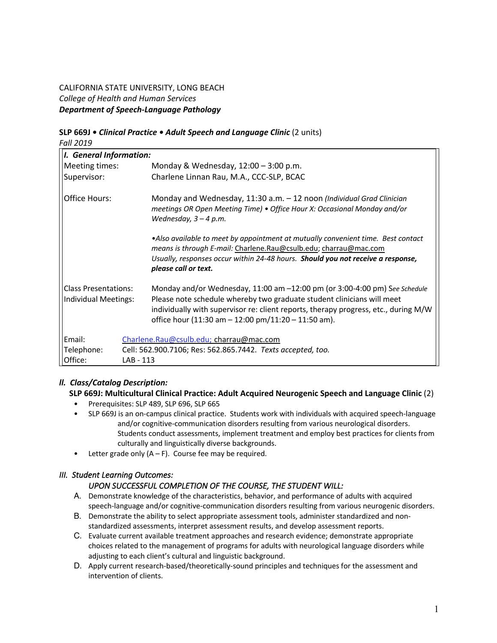# CALIFORNIA STATE UNIVERSITY, LONG BEACH *College of Health and Human Services Department of Speech-Language Pathology*

# **SLP 669J •** *Clinical Practice • Adult Speech and Language Clinic* (2 units)

*Fall 2019 I.**General Information:* Meeting times: Monday & Wednesday, 12:00 – 3:00 p.m. Supervisor: Charlene Linnan Rau, M.A., CCC-SLP, BCAC Office Hours: Monday and Wednesday, 11:30 a.m. – 12 noon *(Individual Grad Clinician meetings OR Open Meeting Time) • Office Hour X: Occasional Monday and/or Wednesday, 3 – 4 p.m. •Also available to meet by appointment at mutually convenient time. Best contact means is through E-mail:* Charlene.Rau@csulb.edu; charrau@mac.com *Usually, responses occur within 24-48 hours. Should you not receive a response, please call or text.* Class Presentations: Monday and/or Wednesday, 11:00 am –12:00 pm (or 3:00-4:00 pm) S*ee Schedule* Individual Meetings: Please note schedule whereby two graduate student clinicians will meet individually with supervisor re: client reports, therapy progress, etc., during M/W office hour (11:30 am – 12:00 pm/11:20 – 11:50 am). Email: Charlene.Rau@csulb.edu; charrau@mac.com Telephone: Cell: 562.900.7106; Res: 562.865.7442. *Texts accepted, too.*

# *ll. Class/Catalog Description:*

Office: LAB - 113

# **SLP 669J: Multicultural Clinical Practice: Adult Acquired Neurogenic Speech and Language Clinic** (2)

- Prerequisites: SLP 489, SLP 696, SLP 665
- SLP 669J is an on-campus clinical practice. Students work with individuals with acquired speech-language and/or cognitive-communication disorders resulting from various neurological disorders. Students conduct assessments, implement treatment and employ best practices for clients from culturally and linguistically diverse backgrounds.
- Letter grade only  $(A F)$ . Course fee may be required.

# *III. Student Learning Outcomes:*

# *UPON SUCCESSFUL COMPLETION OF THE COURSE, THE STUDENT WILL:*

- A. Demonstrate knowledge of the characteristics, behavior, and performance of adults with acquired speech-language and/or cognitive-communication disorders resulting from various neurogenic disorders.
- B. Demonstrate the ability to select appropriate assessment tools, administer standardized and nonstandardized assessments, interpret assessment results, and develop assessment reports.
- C. Evaluate current available treatment approaches and research evidence; demonstrate appropriate choices related to the management of programs for adults with neurological language disorders while adjusting to each client's cultural and linguistic background.
- D. Apply current research-based/theoretically-sound principles and techniques for the assessment and intervention of clients.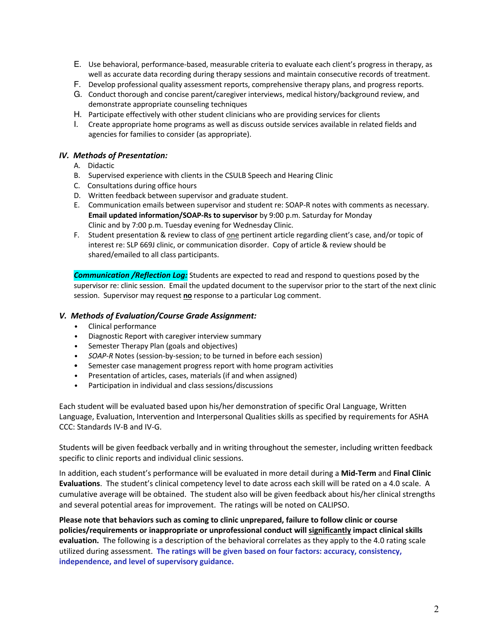- E. Use behavioral, performance-based, measurable criteria to evaluate each client's progress in therapy, as well as accurate data recording during therapy sessions and maintain consecutive records of treatment.
- F. Develop professional quality assessment reports, comprehensive therapy plans, and progress reports.
- G. Conduct thorough and concise parent/caregiver interviews, medical history/background review, and demonstrate appropriate counseling techniques
- H. Participate effectively with other student clinicians who are providing services for clients
- I. Create appropriate home programs as well as discuss outside services available in related fields and agencies for families to consider (as appropriate).

### *IV. Methods of Presentation:*

- A. Didactic
- B. Supervised experience with clients in the CSULB Speech and Hearing Clinic
- C. Consultations during office hours
- D. Written feedback between supervisor and graduate student.
- E. Communication emails between supervisor and student re: SOAP-R notes with comments as necessary. **Email updated information/SOAP-Rs to supervisor** by 9:00 p.m. Saturday for Monday Clinic and by 7:00 p.m. Tuesday evening for Wednesday Clinic.
- F. Student presentation & review to class of one pertinent article regarding client's case, and/or topic of interest re: SLP 669J clinic, or communication disorder. Copy of article & review should be shared/emailed to all class participants.

*Communication /Reflection Log:* Students are expected to read and respond to questions posed by the supervisor re: clinic session. Email the updated document to the supervisor prior to the start of the next clinic session. Supervisor may request **no** response to a particular Log comment.

#### *V. Methods of Evaluation/Course Grade Assignment:*

- Clinical performance
- Diagnostic Report with caregiver interview summary
- Semester Therapy Plan (goals and objectives)
- *• SOAP-R* Notes (session-by-session; to be turned in before each session)
- Semester case management progress report with home program activities
- Presentation of articles, cases, materials (if and when assigned)
- Participation in individual and class sessions/discussions

Each student will be evaluated based upon his/her demonstration of specific Oral Language, Written Language, Evaluation, Intervention and Interpersonal Qualities skills as specified by requirements for ASHA CCC: Standards IV-B and IV-G.

Students will be given feedback verbally and in writing throughout the semester, including written feedback specific to clinic reports and individual clinic sessions.

In addition, each student's performance will be evaluated in more detail during a **Mid-Term** and **Final Clinic Evaluations**. The student's clinical competency level to date across each skill will be rated on a 4.0 scale. A cumulative average will be obtained. The student also will be given feedback about his/her clinical strengths and several potential areas for improvement. The ratings will be noted on CALIPSO.

**Please note that behaviors such as coming to clinic unprepared, failure to follow clinic or course policies/requirements or inappropriate or unprofessional conduct will significantly impact clinical skills evaluation.** The following is a description of the behavioral correlates as they apply to the 4.0 rating scale utilized during assessment. **The ratings will be given based on four factors: accuracy, consistency, independence, and level of supervisory guidance.**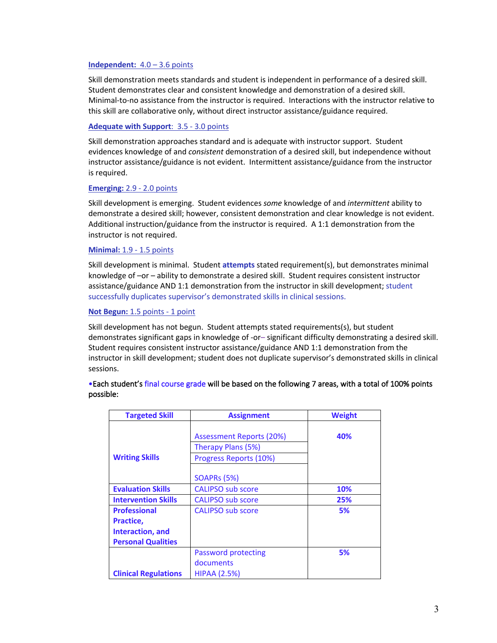#### **Independent:** 4.0 – 3.6 points

Skill demonstration meets standards and student is independent in performance of a desired skill. Student demonstrates clear and consistent knowledge and demonstration of a desired skill. Minimal-to-no assistance from the instructor is required. Interactions with the instructor relative to this skill are collaborative only, without direct instructor assistance/guidance required.

#### **Adequate with Support**: 3.5 - 3.0 points

Skill demonstration approaches standard and is adequate with instructor support. Student evidences knowledge of and *consistent* demonstration of a desired skill, but independence without instructor assistance/guidance is not evident. Intermittent assistance/guidance from the instructor is required.

#### **Emerging:** 2.9 - 2.0 points

Skill development is emerging. Student evidences *some* knowledge of and *intermittent* ability to demonstrate a desired skill; however, consistent demonstration and clear knowledge is not evident. Additional instruction/guidance from the instructor is required. A 1:1 demonstration from the instructor is not required.

#### **Minimal:** 1.9 - 1.5 points

Skill development is minimal. Student **attempts** stated requirement(s), but demonstrates minimal knowledge of –or – ability to demonstrate a desired skill. Student requires consistent instructor assistance/guidance AND 1:1 demonstration from the instructor in skill development; student successfully duplicates supervisor's demonstrated skills in clinical sessions.

#### **Not Begun:** 1.5 points - 1 point

Skill development has not begun. Student attempts stated requirements(s), but student demonstrates significant gaps in knowledge of -or– significant difficulty demonstrating a desired skill. Student requires consistent instructor assistance/guidance AND 1:1 demonstration from the instructor in skill development; student does not duplicate supervisor's demonstrated skills in clinical sessions.

| <b>Targeted Skill</b>                                                             | <b>Assignment</b>                                                                       | <b>Weight</b> |  |  |
|-----------------------------------------------------------------------------------|-----------------------------------------------------------------------------------------|---------------|--|--|
| <b>Writing Skills</b>                                                             | Assessment Reports (20%)<br>Therapy Plans (5%)<br>Progress Reports (10%)<br>SOAPRs (5%) | 40%           |  |  |
| <b>Evaluation Skills</b>                                                          | <b>CALIPSO sub score</b>                                                                | 10%           |  |  |
| <b>Intervention Skills</b>                                                        | <b>CALIPSO sub score</b>                                                                | 25%           |  |  |
| <b>Professional</b><br>Practice,<br>Interaction, and<br><b>Personal Qualities</b> | <b>CALIPSO</b> sub score                                                                | 5%            |  |  |
| <b>Clinical Regulations</b>                                                       | Password protecting<br>documents<br><b>HIPAA (2.5%)</b>                                 | 5%            |  |  |

#### •Each student's final course grade will be based on the following 7 areas, with a total of 100% points possible: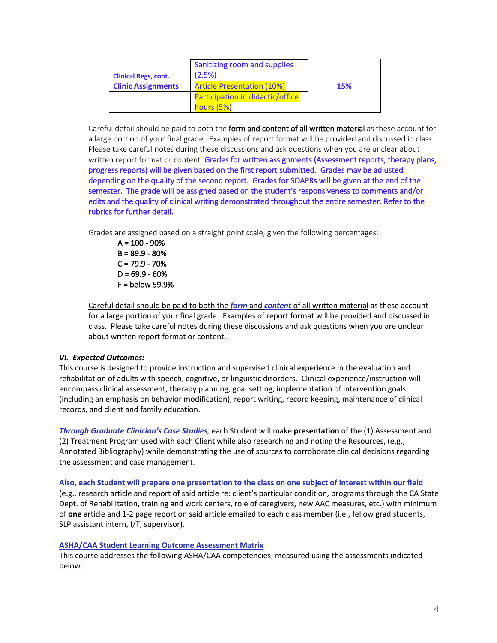|                             | Sanitizing room and supplies      |            |
|-----------------------------|-----------------------------------|------------|
| <b>Clinical Regs, cont.</b> | (2.5%)                            |            |
| <b>Clinic Assignments</b>   | <b>Article Presentation (10%)</b> | <b>15%</b> |
|                             | Participation in didactic/office  |            |
|                             | hours (5%)                        |            |

Careful detail should be paid to both the form and content of all written material as these account for a large portion of your final grade. Examples of report format will be provided and discussed in class. Please take careful notes during these discussions and ask questions when you are unclear about written report format or content. Grades for written assignments (Assessment reports, therapy plans, progress reports) will be given based on the first report submitted. Grades may be adjusted depending on the quality of the second report. Grades for SOAPRs will be given at the end of the semester. The grade will be assigned based on the student's responsiveness to comments and/or edits and the quality of clinical writing demonstrated throughout the entire semester. Refer to the rubrics for further detail.

Grades are assigned based on a straight point scale, given the following percentages:

 $A = 100 - 90%$  $B = 89.9 - 80%$  $C = 79.9 - 70%$  $D = 69.9 - 60%$ F = below 59.9%

Careful detail should be paid to both the *form* and *content* of all written material as these account for a large portion of your final grade. Examples of report format will be provided and discussed in class. Please take careful notes during these discussions and ask questions when you are unclear about written report format or content.

# *VI. Expected Outcomes:*

This course is designed to provide instruction and supervised clinical experience in the evaluation and rehabilitation of adults with speech, cognitive, or linguistic disorders. Clinical experience/instruction will encompass clinical assessment, therapy planning, goal setting, implementation of intervention goals (including an emphasis on behavior modification), report writing, record keeping, maintenance of clinical records, and client and family education.

*Through Graduate Clinician's Case Studies,* each Student will make **presentation** of the (1) Assessment and (2) Treatment Program used with each Client while also researching and noting the Resources, (e.g., Annotated Bibliography) while demonstrating the use of sources to corroborate clinical decisions regarding the assessment and case management.

#### Also, each Student will prepare one presentation to the class on one subject of interest within our field

(e.g., research article and report of said article re: client's particular condition, programs through the CA State Dept. of Rehabilitation, training and work centers, role of caregivers, new AAC measures, etc.) with minimum of **one** article and 1-2 page report on said article emailed to each class member (i.e., fellow grad students, SLP assistant intern, I/T, supervisor).

#### **ASHA/CAA Student Learning Outcome Assessment Matrix**

This course addresses the following ASHA/CAA competencies, measured using the assessments indicated below.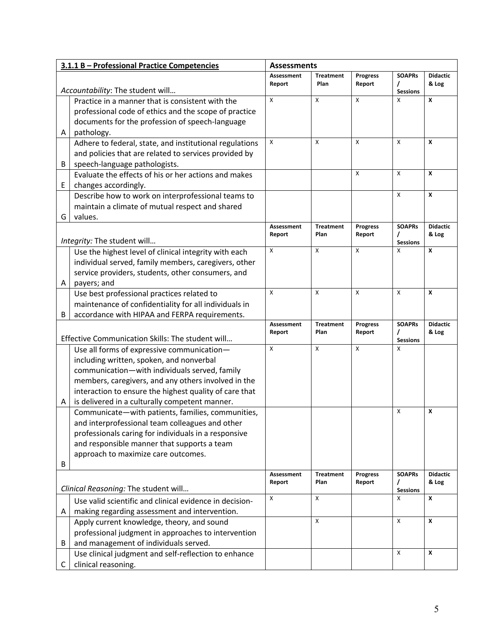|   | 3.1.1 B - Professional Practice Competencies                                                                  | <b>Assessments</b>          |                           |                           |                                       |                          |
|---|---------------------------------------------------------------------------------------------------------------|-----------------------------|---------------------------|---------------------------|---------------------------------------|--------------------------|
|   | Accountability: The student will                                                                              | <b>Assessment</b><br>Report | <b>Treatment</b><br>Plan  | <b>Progress</b><br>Report | <b>SOAPRs</b><br>I<br><b>Sessions</b> | <b>Didactic</b><br>& Log |
|   | Practice in a manner that is consistent with the                                                              | X                           | $\boldsymbol{\mathsf{x}}$ | X                         | X                                     | X                        |
|   | professional code of ethics and the scope of practice                                                         |                             |                           |                           |                                       |                          |
|   | documents for the profession of speech-language                                                               |                             |                           |                           |                                       |                          |
| Α | pathology.                                                                                                    |                             |                           |                           |                                       |                          |
|   | Adhere to federal, state, and institutional regulations                                                       | X                           | X                         | X                         | X                                     | X                        |
|   | and policies that are related to services provided by                                                         |                             |                           |                           |                                       |                          |
| B | speech-language pathologists.                                                                                 |                             |                           |                           |                                       |                          |
|   | Evaluate the effects of his or her actions and makes                                                          |                             |                           | X                         | X                                     | X                        |
| Е | changes accordingly.                                                                                          |                             |                           |                           |                                       |                          |
|   | Describe how to work on interprofessional teams to                                                            |                             |                           |                           | X                                     | X                        |
|   | maintain a climate of mutual respect and shared                                                               |                             |                           |                           |                                       |                          |
| G | values.                                                                                                       |                             |                           |                           |                                       |                          |
|   |                                                                                                               | Assessment                  | <b>Treatment</b>          | <b>Progress</b>           | <b>SOAPRs</b>                         | <b>Didactic</b>          |
|   | Integrity: The student will                                                                                   | Report                      | Plan                      | Report                    | 7<br><b>Sessions</b>                  | & Log                    |
|   | Use the highest level of clinical integrity with each                                                         | X                           | X                         | X                         | X                                     | X                        |
|   | individual served, family members, caregivers, other                                                          |                             |                           |                           |                                       |                          |
|   | service providers, students, other consumers, and                                                             |                             |                           |                           |                                       |                          |
| A | payers; and                                                                                                   |                             |                           |                           |                                       |                          |
|   | Use best professional practices related to                                                                    | X                           | X                         | X                         | X                                     | X                        |
|   | maintenance of confidentiality for all individuals in                                                         |                             |                           |                           |                                       |                          |
| В | accordance with HIPAA and FERPA requirements.                                                                 |                             |                           |                           |                                       |                          |
|   |                                                                                                               | <b>Assessment</b>           | <b>Treatment</b>          | <b>Progress</b>           | <b>SOAPRs</b>                         | <b>Didactic</b>          |
|   | Effective Communication Skills: The student will                                                              | Report                      | Plan                      | Report                    | I                                     | & Log                    |
|   | Use all forms of expressive communication-                                                                    | X                           | $\mathsf{x}$              | X                         | <b>Sessions</b><br>X                  |                          |
|   | including written, spoken, and nonverbal                                                                      |                             |                           |                           |                                       |                          |
|   | communication-with individuals served, family                                                                 |                             |                           |                           |                                       |                          |
|   |                                                                                                               |                             |                           |                           |                                       |                          |
|   | members, caregivers, and any others involved in the<br>interaction to ensure the highest quality of care that |                             |                           |                           |                                       |                          |
| Α | is delivered in a culturally competent manner.                                                                |                             |                           |                           |                                       |                          |
|   | Communicate-with patients, families, communities,                                                             |                             |                           |                           | X                                     | X                        |
|   | and interprofessional team colleagues and other                                                               |                             |                           |                           |                                       |                          |
|   | professionals caring for individuals in a responsive                                                          |                             |                           |                           |                                       |                          |
|   | and responsible manner that supports a team                                                                   |                             |                           |                           |                                       |                          |
|   | approach to maximize care outcomes.                                                                           |                             |                           |                           |                                       |                          |
| В |                                                                                                               |                             |                           |                           |                                       |                          |
|   |                                                                                                               | <b>Assessment</b>           | <b>Treatment</b>          | <b>Progress</b>           | <b>SOAPRs</b>                         | <b>Didactic</b>          |
|   |                                                                                                               | Report                      | Plan                      | Report                    |                                       | & Log                    |
|   | Clinical Reasoning: The student will                                                                          | X                           | X                         |                           | <b>Sessions</b><br>X                  | X                        |
|   | Use valid scientific and clinical evidence in decision-                                                       |                             |                           |                           |                                       |                          |
| Α | making regarding assessment and intervention.                                                                 |                             |                           |                           |                                       |                          |
|   | Apply current knowledge, theory, and sound                                                                    |                             | X                         |                           | X                                     | X                        |
|   | professional judgment in approaches to intervention                                                           |                             |                           |                           |                                       |                          |
| В | and management of individuals served.                                                                         |                             |                           |                           |                                       |                          |
|   | Use clinical judgment and self-reflection to enhance                                                          |                             |                           |                           | X                                     | X                        |
| С | clinical reasoning.                                                                                           |                             |                           |                           |                                       |                          |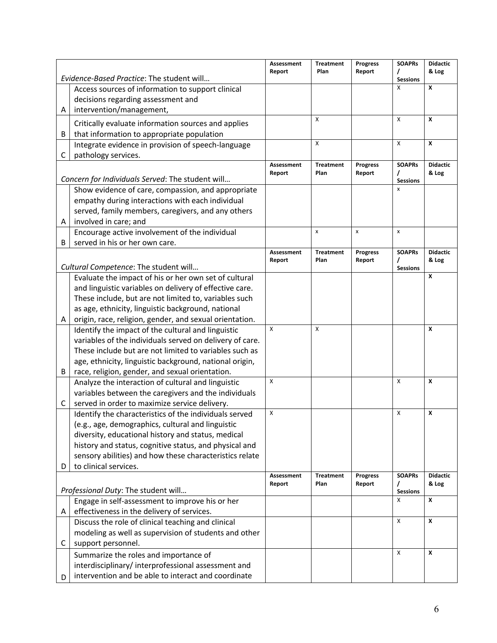|   |                                                          | Assessment<br>Report | <b>Treatment</b><br>Plan | <b>Progress</b><br>Report | <b>SOAPRs</b>   | <b>Didactic</b><br>& Log |
|---|----------------------------------------------------------|----------------------|--------------------------|---------------------------|-----------------|--------------------------|
|   | Evidence-Based Practice: The student will                |                      |                          |                           | <b>Sessions</b> |                          |
|   | Access sources of information to support clinical        |                      |                          |                           | X               | X                        |
|   | decisions regarding assessment and                       |                      |                          |                           |                 |                          |
| Α | intervention/management,                                 |                      |                          |                           |                 |                          |
|   | Critically evaluate information sources and applies      |                      | X                        |                           | X               | X                        |
| B | that information to appropriate population               |                      |                          |                           |                 |                          |
|   | Integrate evidence in provision of speech-language       |                      | X                        |                           | X               | X                        |
| С | pathology services.                                      |                      |                          |                           |                 |                          |
|   |                                                          | <b>Assessment</b>    | <b>Treatment</b>         | <b>Progress</b>           | <b>SOAPRs</b>   | <b>Didactic</b>          |
|   | Concern for Individuals Served: The student will         | Report               | Plan                     | Report                    | <b>Sessions</b> | & Log                    |
|   | Show evidence of care, compassion, and appropriate       |                      |                          |                           | X               |                          |
|   | empathy during interactions with each individual         |                      |                          |                           |                 |                          |
|   | served, family members, caregivers, and any others       |                      |                          |                           |                 |                          |
| Α | involved in care; and                                    |                      |                          |                           |                 |                          |
|   | Encourage active involvement of the individual           |                      | X                        | $\pmb{\times}$            | $\mathsf{x}$    |                          |
| B | served in his or her own care.                           |                      |                          |                           |                 |                          |
|   |                                                          | Assessment           | <b>Treatment</b>         | <b>Progress</b>           | <b>SOAPRs</b>   | <b>Didactic</b>          |
|   |                                                          | Report               | Plan                     | Report                    |                 | & Log                    |
|   | Cultural Competence: The student will                    |                      |                          |                           | <b>Sessions</b> | X                        |
|   | Evaluate the impact of his or her own set of cultural    |                      |                          |                           |                 |                          |
|   | and linguistic variables on delivery of effective care.  |                      |                          |                           |                 |                          |
|   | These include, but are not limited to, variables such    |                      |                          |                           |                 |                          |
|   | as age, ethnicity, linguistic background, national       |                      |                          |                           |                 |                          |
| Α | origin, race, religion, gender, and sexual orientation.  |                      |                          |                           |                 |                          |
|   | Identify the impact of the cultural and linguistic       | X                    | X                        |                           |                 | X                        |
|   | variables of the individuals served on delivery of care. |                      |                          |                           |                 |                          |
|   | These include but are not limited to variables such as   |                      |                          |                           |                 |                          |
|   | age, ethnicity, linguistic background, national origin,  |                      |                          |                           |                 |                          |
| B | race, religion, gender, and sexual orientation.          |                      |                          |                           |                 |                          |
|   | Analyze the interaction of cultural and linguistic       | X                    |                          |                           | X               | X                        |
|   | variables between the caregivers and the individuals     |                      |                          |                           |                 |                          |
| С | served in order to maximize service delivery.            |                      |                          |                           |                 |                          |
|   | Identify the characteristics of the individuals served   | X                    |                          |                           | X               | X                        |
|   | (e.g., age, demographics, cultural and linguistic        |                      |                          |                           |                 |                          |
|   | diversity, educational history and status, medical       |                      |                          |                           |                 |                          |
|   | history and status, cognitive status, and physical and   |                      |                          |                           |                 |                          |
|   | sensory abilities) and how these characteristics relate  |                      |                          |                           |                 |                          |
| D | to clinical services.                                    |                      |                          |                           |                 | <b>Didactic</b>          |
|   |                                                          | Assessment<br>Report | <b>Treatment</b><br>Plan | <b>Progress</b><br>Report | <b>SOAPRs</b>   | & Log                    |
|   | Professional Duty: The student will                      |                      |                          |                           | <b>Sessions</b> |                          |
|   | Engage in self-assessment to improve his or her          |                      |                          |                           | X               | X                        |
| Α | effectiveness in the delivery of services.               |                      |                          |                           |                 |                          |
|   | Discuss the role of clinical teaching and clinical       |                      |                          |                           | X               | X                        |
|   | modeling as well as supervision of students and other    |                      |                          |                           |                 |                          |
| С | support personnel.                                       |                      |                          |                           |                 |                          |
|   | Summarize the roles and importance of                    |                      |                          |                           | X               | X                        |
|   | interdisciplinary/interprofessional assessment and       |                      |                          |                           |                 |                          |
| D | intervention and be able to interact and coordinate      |                      |                          |                           |                 |                          |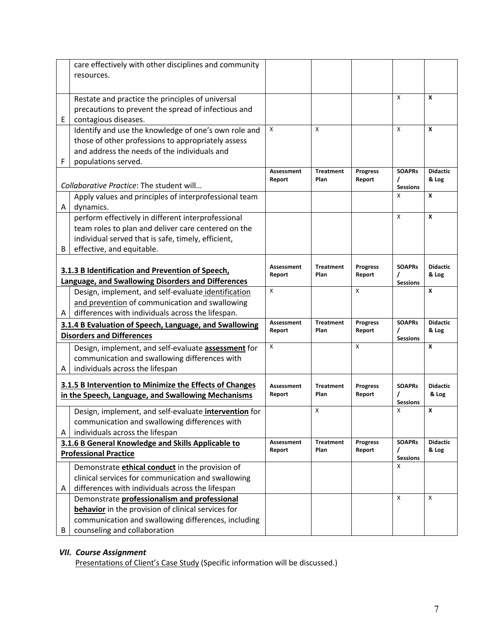|   | care effectively with other disciplines and community                                                  |                   |                  |                 |                      |                 |
|---|--------------------------------------------------------------------------------------------------------|-------------------|------------------|-----------------|----------------------|-----------------|
|   | resources.                                                                                             |                   |                  |                 |                      |                 |
|   |                                                                                                        |                   |                  |                 |                      |                 |
|   | Restate and practice the principles of universal                                                       |                   |                  |                 | X                    | X               |
|   | precautions to prevent the spread of infectious and                                                    |                   |                  |                 |                      |                 |
| Е | contagious diseases.                                                                                   |                   |                  |                 |                      |                 |
|   | Identify and use the knowledge of one's own role and                                                   | $\mathsf{x}$      | $\mathsf{x}$     |                 | $\mathsf{x}$         | X               |
|   | those of other professions to appropriately assess                                                     |                   |                  |                 |                      |                 |
|   | and address the needs of the individuals and                                                           |                   |                  |                 |                      |                 |
| F | populations served.                                                                                    |                   |                  |                 |                      |                 |
|   |                                                                                                        | <b>Assessment</b> | <b>Treatment</b> | <b>Progress</b> | <b>SOAPRs</b>        | <b>Didactic</b> |
|   | Collaborative Practice: The student will                                                               | Report            | Plan             | Report          | $\prime$             | & Log           |
|   | Apply values and principles of interprofessional team                                                  |                   |                  |                 | <b>Sessions</b><br>X | X               |
| Α | dynamics.                                                                                              |                   |                  |                 |                      |                 |
|   | perform effectively in different interprofessional                                                     |                   |                  |                 | X                    | X               |
|   | team roles to plan and deliver care centered on the                                                    |                   |                  |                 |                      |                 |
|   | individual served that is safe, timely, efficient,                                                     |                   |                  |                 |                      |                 |
| В | effective, and equitable.                                                                              |                   |                  |                 |                      |                 |
|   |                                                                                                        |                   |                  |                 |                      |                 |
|   | 3.1.3 B Identification and Prevention of Speech,                                                       | <b>Assessment</b> | <b>Treatment</b> | <b>Progress</b> | <b>SOAPRS</b>        | <b>Didactic</b> |
|   | Language, and Swallowing Disorders and Differences                                                     | Report            | Plan             | Report          | <b>Sessions</b>      | & Log           |
|   | Design, implement, and self-evaluate identification                                                    | X                 |                  | X               |                      | X               |
|   | and prevention of communication and swallowing                                                         |                   |                  |                 |                      |                 |
| Α | differences with individuals across the lifespan.                                                      |                   |                  |                 |                      |                 |
|   | 3.1.4 B Evaluation of Speech, Language, and Swallowing                                                 | <b>Assessment</b> | <b>Treatment</b> | <b>Progress</b> | <b>SOAPRs</b>        | <b>Didactic</b> |
|   | <b>Disorders and Differences</b>                                                                       | Report            | Plan             | Report          |                      | & Log           |
|   |                                                                                                        | X                 |                  | X               | <b>Sessions</b>      | X               |
|   | Design, implement, and self-evaluate assessment for                                                    |                   |                  |                 |                      |                 |
|   | communication and swallowing differences with                                                          |                   |                  |                 |                      |                 |
| А | individuals across the lifespan                                                                        |                   |                  |                 |                      |                 |
|   | 3.1.5 B Intervention to Minimize the Effects of Changes                                                | <b>Assessment</b> | <b>Treatment</b> | <b>Progress</b> | <b>SOAPRs</b>        | <b>Didactic</b> |
|   | in the Speech, Language, and Swallowing Mechanisms                                                     | Report            | Plan             | Report          |                      | & Log           |
|   |                                                                                                        |                   | X                |                 | <b>Sessions</b><br>X | X               |
|   | Design, implement, and self-evaluate intervention for<br>communication and swallowing differences with |                   |                  |                 |                      |                 |
|   | individuals across the lifespan                                                                        |                   |                  |                 |                      |                 |
| А | 3.1.6 B General Knowledge and Skills Applicable to                                                     | <b>Assessment</b> | <b>Treatment</b> | <b>Progress</b> | <b>SOAPRs</b>        | <b>Didactic</b> |
|   | <b>Professional Practice</b>                                                                           | Report            | Plan             | Report          |                      | & Log           |
|   |                                                                                                        |                   |                  |                 | <b>Sessions</b>      |                 |
|   | Demonstrate ethical conduct in the provision of                                                        |                   |                  |                 | X                    |                 |
|   | clinical services for communication and swallowing                                                     |                   |                  |                 |                      |                 |
| Α | differences with individuals across the lifespan                                                       |                   |                  |                 |                      |                 |
|   | Demonstrate professionalism and professional                                                           |                   |                  |                 | X                    | Χ               |
|   | behavior in the provision of clinical services for                                                     |                   |                  |                 |                      |                 |
|   |                                                                                                        |                   |                  |                 |                      |                 |
| В | communication and swallowing differences, including<br>counseling and collaboration                    |                   |                  |                 |                      |                 |

# *VII. Course Assignment*

Presentations of Client's Case Study (Specific information will be discussed.)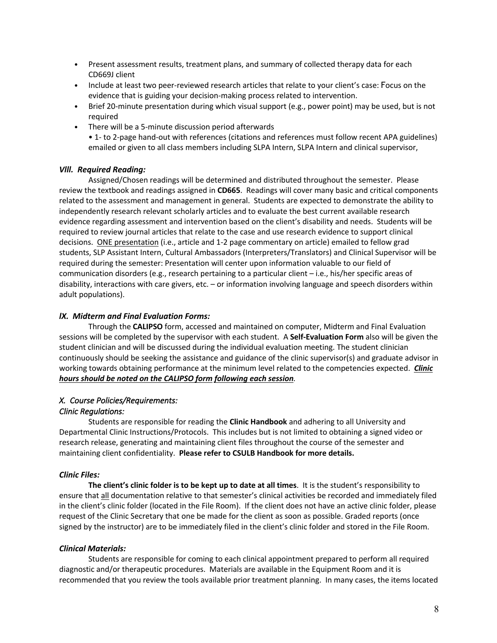- Present assessment results, treatment plans, and summary of collected therapy data for each CD669J client
- Include at least two peer-reviewed research articles that relate to your client's case: Focus on the evidence that is guiding your decision-making process related to intervention.
- Brief 20-minute presentation during which visual support (e.g., power point) may be used, but is not required
- There will be a 5-minute discussion period afterwards
	- 1- to 2-page hand-out with references (citations and references must follow recent APA guidelines) emailed or given to all class members including SLPA Intern, SLPA Intern and clinical supervisor,

# *Vlll. Required Reading:*

Assigned/Chosen readings will be determined and distributed throughout the semester. Please review the textbook and readings assigned in **CD665**. Readings will cover many basic and critical components related to the assessment and management in general. Students are expected to demonstrate the ability to independently research relevant scholarly articles and to evaluate the best current available research evidence regarding assessment and intervention based on the client's disability and needs. Students will be required to review journal articles that relate to the case and use research evidence to support clinical decisions. ONE presentation (i.e., article and 1-2 page commentary on article) emailed to fellow grad students, SLP Assistant Intern, Cultural Ambassadors (Interpreters/Translators) and Clinical Supervisor will be required during the semester: Presentation will center upon information valuable to our field of communication disorders (e.g., research pertaining to a particular client – i.e., his/her specific areas of disability, interactions with care givers, etc. – or information involving language and speech disorders within adult populations).

#### *lX. Midterm and Final Evaluation Forms:*

Through the **CALIPSO** form, accessed and maintained on computer, Midterm and Final Evaluation sessions will be completed by the supervisor with each student. A **Self-Evaluation Form** also will be given the student clinician and will be discussed during the individual evaluation meeting. The student clinician continuously should be seeking the assistance and guidance of the clinic supervisor(s) and graduate advisor in working towards obtaining performance at the minimum level related to the competencies expected. *Clinic hours should be noted on the CALIPSO form following each session.*

# *X. Course Policies/Requirements:*

# *Clinic Regulations:*

Students are responsible for reading the **Clinic Handbook** and adhering to all University and Departmental Clinic Instructions/Protocols. This includes but is not limited to obtaining a signed video or research release, generating and maintaining client files throughout the course of the semester and maintaining client confidentiality. **Please refer to CSULB Handbook for more details.**

# *Clinic Files:*

**The client's clinic folder is to be kept up to date at all times**. It is the student's responsibility to ensure that all documentation relative to that semester's clinical activities be recorded and immediately filed in the client's clinic folder (located in the File Room). If the client does not have an active clinic folder, please request of the Clinic Secretary that one be made for the client as soon as possible. Graded reports (once signed by the instructor) are to be immediately filed in the client's clinic folder and stored in the File Room.

#### *Clinical Materials:*

Students are responsible for coming to each clinical appointment prepared to perform all required diagnostic and/or therapeutic procedures. Materials are available in the Equipment Room and it is recommended that you review the tools available prior treatment planning. In many cases, the items located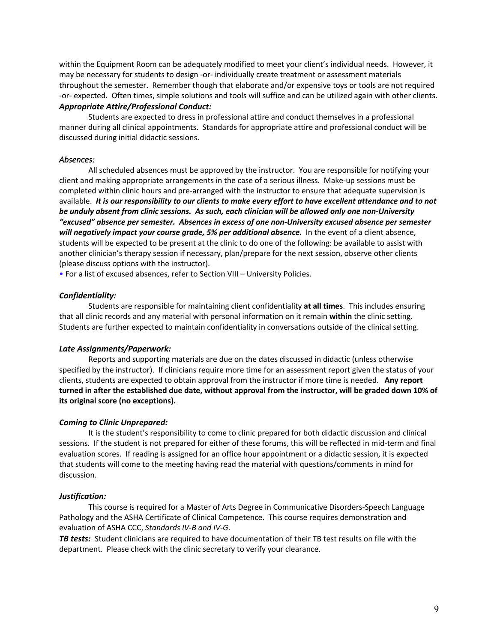within the Equipment Room can be adequately modified to meet your client's individual needs. However, it may be necessary for students to design -or- individually create treatment or assessment materials throughout the semester. Remember though that elaborate and/or expensive toys or tools are not required -or- expected. Often times, simple solutions and tools will suffice and can be utilized again with other clients. *Appropriate Attire/Professional Conduct:*

Students are expected to dress in professional attire and conduct themselves in a professional manner during all clinical appointments. Standards for appropriate attire and professional conduct will be discussed during initial didactic sessions.

### *Absences:*

All scheduled absences must be approved by the instructor. You are responsible for notifying your client and making appropriate arrangements in the case of a serious illness. Make-up sessions must be completed within clinic hours and pre-arranged with the instructor to ensure that adequate supervision is available. It is our responsibility to our clients to make every effort to have excellent attendance and to not *be unduly absent from clinic sessions. As such, each clinician will be allowed only one non-University "excused" absence per semester. Absences in excess of one non-University excused absence per semester will negatively impact your course grade, 5% per additional absence.* In the event of a client absence, students will be expected to be present at the clinic to do one of the following: be available to assist with another clinician's therapy session if necessary, plan/prepare for the next session, observe other clients (please discuss options with the instructor).

• For a list of excused absences, refer to Section VIII – University Policies.

#### *Confidentiality:*

Students are responsible for maintaining client confidentiality **at all times**. This includes ensuring that all clinic records and any material with personal information on it remain **within** the clinic setting. Students are further expected to maintain confidentiality in conversations outside of the clinical setting.

#### *Late Assignments/Paperwork:*

Reports and supporting materials are due on the dates discussed in didactic (unless otherwise specified by the instructor). If clinicians require more time for an assessment report given the status of your clients, students are expected to obtain approval from the instructor if more time is needed. **Any report** turned in after the established due date, without approval from the instructor, will be graded down 10% of **its original score (no exceptions).**

#### *Coming to Clinic Unprepared:*

It is the student's responsibility to come to clinic prepared for both didactic discussion and clinical sessions. If the student is not prepared for either of these forums, this will be reflected in mid-term and final evaluation scores. If reading is assigned for an office hour appointment or a didactic session, it is expected that students will come to the meeting having read the material with questions/comments in mind for discussion.

#### *Justification:*

This course is required for a Master of Arts Degree in Communicative Disorders-Speech Language Pathology and the ASHA Certificate of Clinical Competence. This course requires demonstration and evaluation of ASHA CCC, *Standards IV-B and IV-G*.

*TB tests:* Student clinicians are required to have documentation of their TB test results on file with the department. Please check with the clinic secretary to verify your clearance.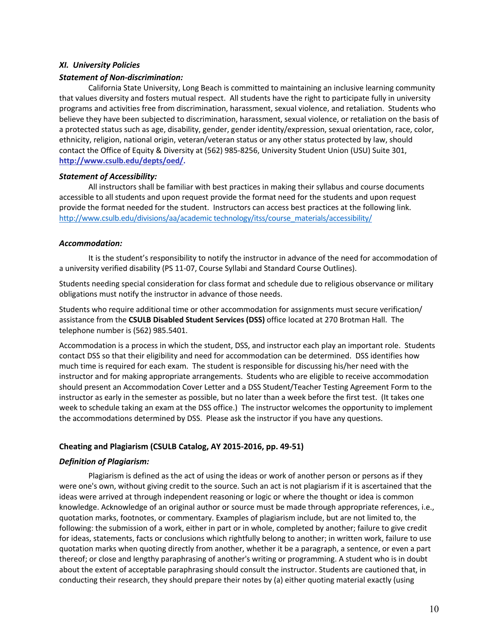#### *XI. University Policies*

#### *Statement of Non-discrimination:*

California State University, Long Beach is committed to maintaining an inclusive learning community that values diversity and fosters mutual respect. All students have the right to participate fully in university programs and activities free from discrimination, harassment, sexual violence, and retaliation. Students who believe they have been subjected to discrimination, harassment, sexual violence, or retaliation on the basis of a protected status such as age, disability, gender, gender identity/expression, sexual orientation, race, color, ethnicity, religion, national origin, veteran/veteran status or any other status protected by law, should contact the Office of Equity & Diversity at (562) 985-8256, University Student Union (USU) Suite 301, **http://www.csulb.edu/depts/oed/.**

#### *Statement of Accessibility:*

All instructors shall be familiar with best practices in making their syllabus and course documents accessible to all students and upon request provide the format need for the students and upon request provide the format needed for the student. Instructors can access best practices at the following link. http://www.csulb.edu/divisions/aa/academic technology/itss/course\_materials/accessibility/

#### *Accommodation:*

It is the student's responsibility to notify the instructor in advance of the need for accommodation of a university verified disability (PS 11-07, Course Syllabi and Standard Course Outlines).

Students needing special consideration for class format and schedule due to religious observance or military obligations must notify the instructor in advance of those needs.

Students who require additional time or other accommodation for assignments must secure verification/ assistance from the **CSULB Disabled Student Services (DSS)** office located at 270 Brotman Hall. The telephone number is (562) 985.5401.

Accommodation is a process in which the student, DSS, and instructor each play an important role. Students contact DSS so that their eligibility and need for accommodation can be determined. DSS identifies how much time is required for each exam. The student is responsible for discussing his/her need with the instructor and for making appropriate arrangements. Students who are eligible to receive accommodation should present an Accommodation Cover Letter and a DSS Student/Teacher Testing Agreement Form to the instructor as early in the semester as possible, but no later than a week before the first test. (It takes one week to schedule taking an exam at the DSS office.) The instructor welcomes the opportunity to implement the accommodations determined by DSS. Please ask the instructor if you have any questions.

# **Cheating and Plagiarism (CSULB Catalog, AY 2015-2016, pp. 49-51)**

# *Definition of Plagiarism:*

Plagiarism is defined as the act of using the ideas or work of another person or persons as if they were one's own, without giving credit to the source. Such an act is not plagiarism if it is ascertained that the ideas were arrived at through independent reasoning or logic or where the thought or idea is common knowledge. Acknowledge of an original author or source must be made through appropriate references, i.e., quotation marks, footnotes, or commentary. Examples of plagiarism include, but are not limited to, the following: the submission of a work, either in part or in whole, completed by another; failure to give credit for ideas, statements, facts or conclusions which rightfully belong to another; in written work, failure to use quotation marks when quoting directly from another, whether it be a paragraph, a sentence, or even a part thereof; or close and lengthy paraphrasing of another's writing or programming. A student who is in doubt about the extent of acceptable paraphrasing should consult the instructor. Students are cautioned that, in conducting their research, they should prepare their notes by (a) either quoting material exactly (using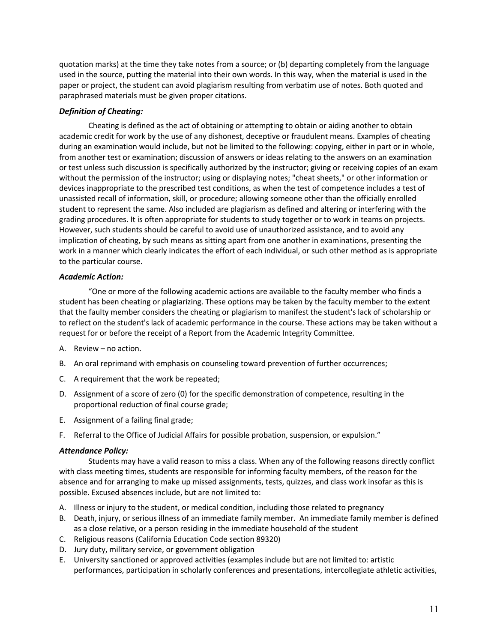quotation marks) at the time they take notes from a source; or (b) departing completely from the language used in the source, putting the material into their own words. In this way, when the material is used in the paper or project, the student can avoid plagiarism resulting from verbatim use of notes. Both quoted and paraphrased materials must be given proper citations.

# *Definition of Cheating:*

Cheating is defined as the act of obtaining or attempting to obtain or aiding another to obtain academic credit for work by the use of any dishonest, deceptive or fraudulent means. Examples of cheating during an examination would include, but not be limited to the following: copying, either in part or in whole, from another test or examination; discussion of answers or ideas relating to the answers on an examination or test unless such discussion is specifically authorized by the instructor; giving or receiving copies of an exam without the permission of the instructor; using or displaying notes; "cheat sheets," or other information or devices inappropriate to the prescribed test conditions, as when the test of competence includes a test of unassisted recall of information, skill, or procedure; allowing someone other than the officially enrolled student to represent the same. Also included are plagiarism as defined and altering or interfering with the grading procedures. It is often appropriate for students to study together or to work in teams on projects. However, such students should be careful to avoid use of unauthorized assistance, and to avoid any implication of cheating, by such means as sitting apart from one another in examinations, presenting the work in a manner which clearly indicates the effort of each individual, or such other method as is appropriate to the particular course.

#### *Academic Action:*

"One or more of the following academic actions are available to the faculty member who finds a student has been cheating or plagiarizing. These options may be taken by the faculty member to the extent that the faulty member considers the cheating or plagiarism to manifest the student's lack of scholarship or to reflect on the student's lack of academic performance in the course. These actions may be taken without a request for or before the receipt of a Report from the Academic Integrity Committee.

- A. Review no action.
- B. An oral reprimand with emphasis on counseling toward prevention of further occurrences;
- C. A requirement that the work be repeated;
- D. Assignment of a score of zero (0) for the specific demonstration of competence, resulting in the proportional reduction of final course grade;
- E. Assignment of a failing final grade;
- F. Referral to the Office of Judicial Affairs for possible probation, suspension, or expulsion."

#### *Attendance Policy:*

Students may have a valid reason to miss a class. When any of the following reasons directly conflict with class meeting times, students are responsible for informing faculty members, of the reason for the absence and for arranging to make up missed assignments, tests, quizzes, and class work insofar as this is possible. Excused absences include, but are not limited to:

- A. Illness or injury to the student, or medical condition, including those related to pregnancy
- B. Death, injury, or serious illness of an immediate family member. An immediate family member is defined as a close relative, or a person residing in the immediate household of the student
- C. Religious reasons (California Education Code section 89320)
- D. Jury duty, military service, or government obligation
- E. University sanctioned or approved activities (examples include but are not limited to: artistic performances, participation in scholarly conferences and presentations, intercollegiate athletic activities,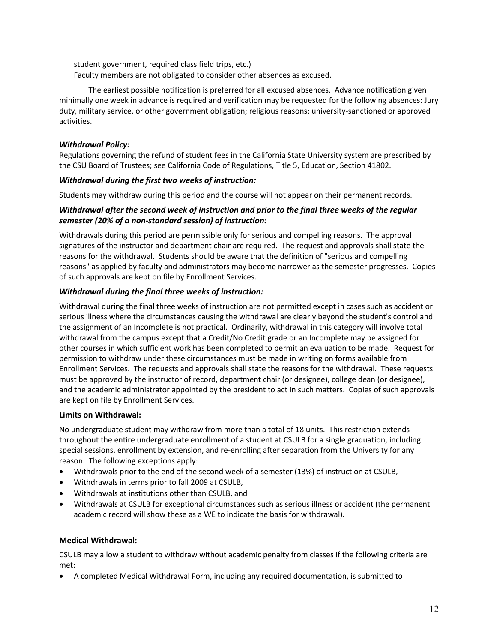student government, required class field trips, etc.) Faculty members are not obligated to consider other absences as excused.

The earliest possible notification is preferred for all excused absences. Advance notification given minimally one week in advance is required and verification may be requested for the following absences: Jury duty, military service, or other government obligation; religious reasons; university-sanctioned or approved activities.

# *Withdrawal Policy:*

Regulations governing the refund of student fees in the California State University system are prescribed by the CSU Board of Trustees; see California Code of Regulations, Title 5, Education, Section 41802.

# *Withdrawal during the first two weeks of instruction:*

Students may withdraw during this period and the course will not appear on their permanent records.

# *Withdrawal after the second week of instruction and prior to the final three weeks of the regular semester (20% of a non-standard session) of instruction:*

Withdrawals during this period are permissible only for serious and compelling reasons. The approval signatures of the instructor and department chair are required. The request and approvals shall state the reasons for the withdrawal. Students should be aware that the definition of "serious and compelling reasons" as applied by faculty and administrators may become narrower as the semester progresses. Copies of such approvals are kept on file by Enrollment Services.

# *Withdrawal during the final three weeks of instruction:*

Withdrawal during the final three weeks of instruction are not permitted except in cases such as accident or serious illness where the circumstances causing the withdrawal are clearly beyond the student's control and the assignment of an Incomplete is not practical. Ordinarily, withdrawal in this category will involve total withdrawal from the campus except that a Credit/No Credit grade or an Incomplete may be assigned for other courses in which sufficient work has been completed to permit an evaluation to be made. Request for permission to withdraw under these circumstances must be made in writing on forms available from Enrollment Services. The requests and approvals shall state the reasons for the withdrawal. These requests must be approved by the instructor of record, department chair (or designee), college dean (or designee), and the academic administrator appointed by the president to act in such matters. Copies of such approvals are kept on file by Enrollment Services.

# **Limits on Withdrawal:**

No undergraduate student may withdraw from more than a total of 18 units. This restriction extends throughout the entire undergraduate enrollment of a student at CSULB for a single graduation, including special sessions, enrollment by extension, and re-enrolling after separation from the University for any reason. The following exceptions apply:

- Withdrawals prior to the end of the second week of a semester (13%) of instruction at CSULB,
- Withdrawals in terms prior to fall 2009 at CSULB,
- Withdrawals at institutions other than CSULB, and
- Withdrawals at CSULB for exceptional circumstances such as serious illness or accident (the permanent academic record will show these as a WE to indicate the basis for withdrawal).

# **Medical Withdrawal:**

CSULB may allow a student to withdraw without academic penalty from classes if the following criteria are met:

• A completed Medical Withdrawal Form, including any required documentation, is submitted to